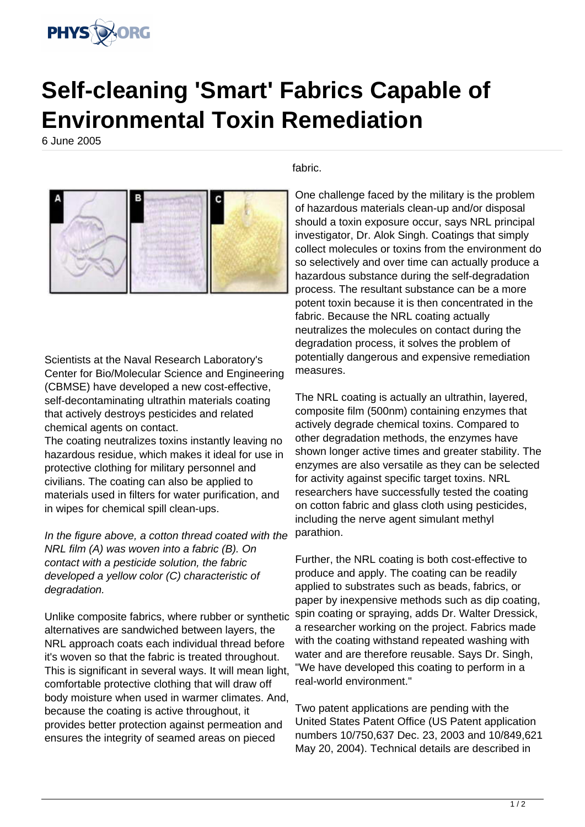

## **Self-cleaning 'Smart' Fabrics Capable of Environmental Toxin Remediation**

6 June 2005



Scientists at the Naval Research Laboratory's Center for Bio/Molecular Science and Engineering (CBMSE) have developed a new cost-effective, self-decontaminating ultrathin materials coating that actively destroys pesticides and related chemical agents on contact.

The coating neutralizes toxins instantly leaving no hazardous residue, which makes it ideal for use in protective clothing for military personnel and civilians. The coating can also be applied to materials used in filters for water purification, and in wipes for chemical spill clean-ups.

In the figure above, a cotton thread coated with the NRL film (A) was woven into a fabric (B). On contact with a pesticide solution, the fabric developed a yellow color (C) characteristic of degradation.

Unlike composite fabrics, where rubber or synthetic alternatives are sandwiched between layers, the NRL approach coats each individual thread before it's woven so that the fabric is treated throughout. This is significant in several ways. It will mean light, comfortable protective clothing that will draw off body moisture when used in warmer climates. And, because the coating is active throughout, it provides better protection against permeation and ensures the integrity of seamed areas on pieced

fabric.

One challenge faced by the military is the problem of hazardous materials clean-up and/or disposal should a toxin exposure occur, says NRL principal investigator, Dr. Alok Singh. Coatings that simply collect molecules or toxins from the environment do so selectively and over time can actually produce a hazardous substance during the self-degradation process. The resultant substance can be a more potent toxin because it is then concentrated in the fabric. Because the NRL coating actually neutralizes the molecules on contact during the degradation process, it solves the problem of potentially dangerous and expensive remediation measures.

The NRL coating is actually an ultrathin, layered, composite film (500nm) containing enzymes that actively degrade chemical toxins. Compared to other degradation methods, the enzymes have shown longer active times and greater stability. The enzymes are also versatile as they can be selected for activity against specific target toxins. NRL researchers have successfully tested the coating on cotton fabric and glass cloth using pesticides, including the nerve agent simulant methyl parathion.

Further, the NRL coating is both cost-effective to produce and apply. The coating can be readily applied to substrates such as beads, fabrics, or paper by inexpensive methods such as dip coating, spin coating or spraying, adds Dr. Walter Dressick, a researcher working on the project. Fabrics made with the coating withstand repeated washing with water and are therefore reusable. Says Dr. Singh, "We have developed this coating to perform in a real-world environment."

Two patent applications are pending with the United States Patent Office (US Patent application numbers 10/750,637 Dec. 23, 2003 and 10/849,621 May 20, 2004). Technical details are described in